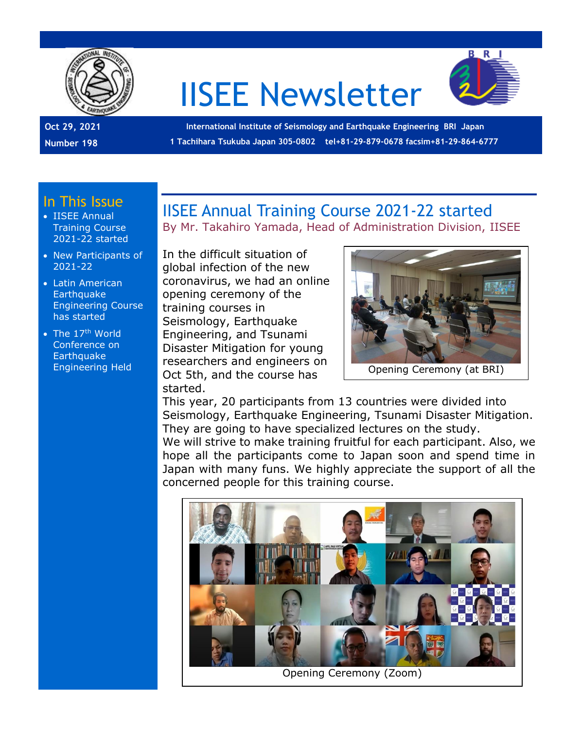

# IISEE Newsletter



**Oct 29, 2021 Number 198**

**International Institute of Seismology and Earthquake Engineering BRI Japan 1 Tachihara Tsukuba Japan 305-0802 tel+81-29-879-0678 facsim+81-29-864-6777**

#### In This Issue

- IISEE Annual Training Course 2021-22 started
- New Participants of 2021-22
- Latin American **Earthquake** Engineering Course has started
- The  $17<sup>th</sup>$  World Conference on **Earthquake** Engineering Held

IISEE Annual Training Course 2021-22 started

By Mr. Takahiro Yamada, Head of Administration Division, IISEE

In the difficult situation of global infection of the new coronavirus, we had an online opening ceremony of the training courses in Seismology, Earthquake Engineering, and Tsunami Disaster Mitigation for young researchers and engineers on Oct 5th, and the course has started.



This year, 20 participants from 13 countries were divided into Seismology, Earthquake Engineering, Tsunami Disaster Mitigation. They are going to have specialized lectures on the study.

We will strive to make training fruitful for each participant. Also, we hope all the participants come to Japan soon and spend time in Japan with many funs. We highly appreciate the support of all the concerned people for this training course.



Opening Ceremony (Zoom)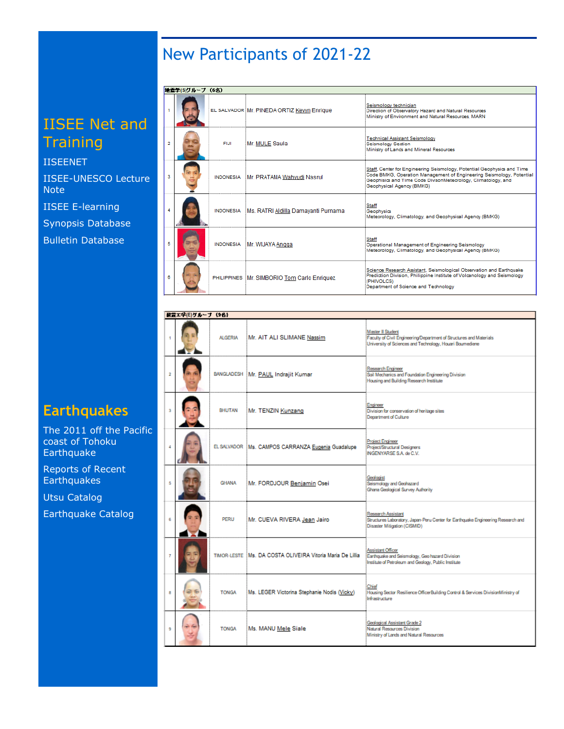## New Participants of 2021-22

## IISEE Net and **Training**

[IISEENET](http://iisee.kenken.go.jp/net/) [IISEE-UNESCO Lecture](http://iisee/lna/)  **[Note](http://iisee/lna/)** [IISEE E-learning](http://iisee/el/)

[Synopsis Database](http://iisee/syndb/)

[Bulletin Database](http://iisee/bltndb/)

### **Earthquakes**

[The 2011 off the Pacific](http://iisee/special2/20110311tohoku.htm)  [coast of Tohoku](http://iisee/special2/20110311tohoku.htm)  **[Earthquake](http://iisee/special2/20110311tohoku.htm)** 

[Reports of Recent](http://iisee/quakes.htm)  **[Earthquakes](http://iisee/quakes.htm)** 

[Utsu Catalog](http://iisee/utsu/index_eng.html)

[Earthquake Catalog](http://iisee/eqcat/Top_page_en.htm)

| 地震学(S)グループ (6名) |             |                                               |                                                                                                                                                                                                                                               |
|-----------------|-------------|-----------------------------------------------|-----------------------------------------------------------------------------------------------------------------------------------------------------------------------------------------------------------------------------------------------|
|                 |             | EL SALVADOR Mr. PINEDA ORTIZ Kevyn Enrique    | Seismology technician<br>Direction of Observatory Hazard and Natural Resources<br>Ministry of Environment and Natural Resources, MARN                                                                                                         |
| 2               | <b>FIJI</b> | Mr. MULE Saula                                | <b>Technical Assistant Seismology</b><br><b>Seismology Section</b><br>Ministry of Lands and Mineral Resources                                                                                                                                 |
| 3               |             | INDONESIA Mr. PRATAMA Wahyudi Nasrul          | Staff, Center for Engineering Seismology, Potential Geophysics and Time<br>Code BMKG, Operation Management of Engineering Seismology, Potential<br>Geophisics and Time Code DivisonMeteorology, Climatology, and<br>Geophysical Agency (BMKG) |
|                 |             | INDONESIA Ms. RATRI Aldilla Damayanti Purnama | <b>Staff</b><br>Geophysics<br>Meteorology, Climatology, and Geophysical Agency (BMKG)                                                                                                                                                         |
| 5               |             | INDONESIA Mr. WIJAYA Angga                    | <b>Staff</b><br>Operational Management of Engineering Seismology<br>Meteorology, Climatology, and Geophysical Agency (BMKG)                                                                                                                   |
| 8               |             | PHILIPPINES Mr. SIMBORIO Tom Carlo Enriquez   | Science Research Assistant, Seismological Observation and Earthquake<br>Prediction Division, Philippine Institute of Volcanology and Seismology<br>(PHIVOLCS)<br>Department of Science and Technology                                         |

| 研査エネ(E)グループ (9名) |  |                |                                                             |                                                                                                                                                      |  |  |
|------------------|--|----------------|-------------------------------------------------------------|------------------------------------------------------------------------------------------------------------------------------------------------------|--|--|
| ٠                |  | <b>ALGERIA</b> | Mr. AIT ALI SLIMANE Nassim                                  | Master II Student<br>Faculty of Civil Engineering/Department of Structures and Materials<br>University of Sciences and Technology, Houari Boumediene |  |  |
| $\overline{2}$   |  |                | BANGLADESH Mr. PAUL Indrajit Kumar                          | Research Engineer<br>Sail Mechanics and Foundation Engineering Division<br>Housing and Building Research Institute                                   |  |  |
| з                |  | <b>BHUTAN</b>  | Mr. TENZIN Kunzang                                          | Engineer<br>Division for conservation of heritage sites<br>Department of Culture                                                                     |  |  |
| 4                |  |                | EL SALVADOR Ms. CAMPOS CARRANZA Eugenia Guadalupe           | Project Engineer<br>Project/Structural Designers<br>INGENYARSE S.A. de C.V.                                                                          |  |  |
| 5                |  | <b>GHANA</b>   | Mr. FORDJOUR Benjamin Osei                                  | Geologist<br>Seismology and Geohazard<br>Ghana Geological Survey Authority                                                                           |  |  |
| 6                |  | <b>PERU</b>    | Mr. CUEVA RIVERA Jean Jairo                                 | Research Assistant<br>Structures Laboratory, Japan-Peru Center for Earthquake Engineering Research and<br>Disaster Mitigation (CISMID)               |  |  |
| $\overline{t}$   |  |                | TIMOR-LESTE : Ms. DA COSTA OLIVEIRA Vitoria Maria De Lillia | Assistant Officer<br>Earthquake and Seismology, Geo hazard Division<br>Institute of Petroleum and Geology, Public Institute                          |  |  |
| 8                |  | <b>TONGA</b>   | Ms. LEGER Victorina Stephanie Nodis (Vicky)                 | Chief<br>Housing Sector Resilience OfficerBuilding Control & Services DivisionMinistry of<br>Infrastructure                                          |  |  |
| 9                |  | <b>TONGA</b>   | Ms. MANU Mele Siale                                         | Geological Assistant Grade 2<br>Natural Resources Division<br>Ministry of Lands and Natural Resources                                                |  |  |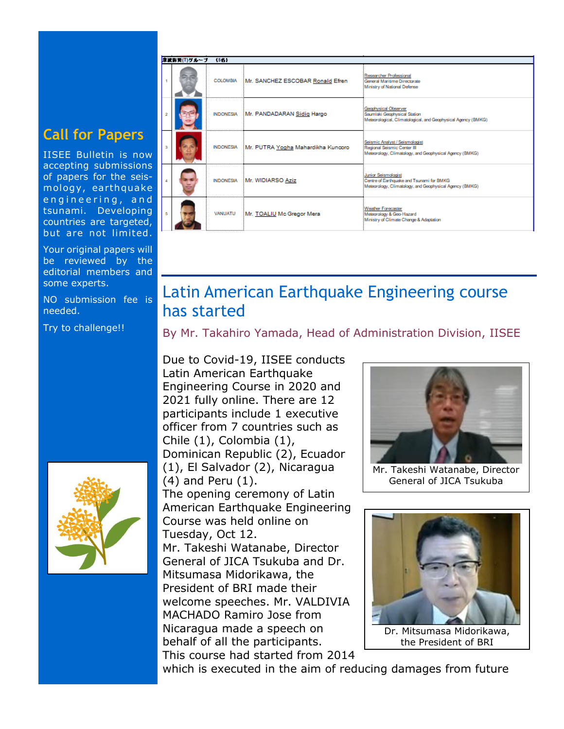#### **Call for Papers**

IISEE Bulletin is now accepting submissions of papers for the seismology, earthquake engineering, and tsunami. Developing countries are targeted, but are not limited.

Your original papers will be reviewed by the editorial members and some experts.

NO submission fee is needed.

Try to challenge!!



## Latin American Earthquake Engineering course has started

By Mr. Takahiro Yamada, Head of Administration Division, IISEE

Due to Covid-19, IISEE conducts Latin American Earthquake Engineering Course in 2020 and 2021 fully online. There are 12 participants include 1 executive officer from 7 countries such as Chile (1), Colombia (1), Dominican Republic (2), Ecuador (1), El Salvador (2), Nicaragua (4) and Peru (1). The opening ceremony of Latin American Earthquake Engineering Course was held online on Tuesday, Oct 12. Mr. Takeshi Watanabe, Director General of JICA Tsukuba and Dr. Mitsumasa Midorikawa, the President of BRI made their welcome speeches. Mr. VALDIVIA MACHADO Ramiro Jose from Nicaragua made a speech on behalf of all the participants. This course had started from 2014



Mr. Takeshi Watanabe, Director General of JICA Tsukuba



the President of BRI

which is executed in the aim of reducing damages from future